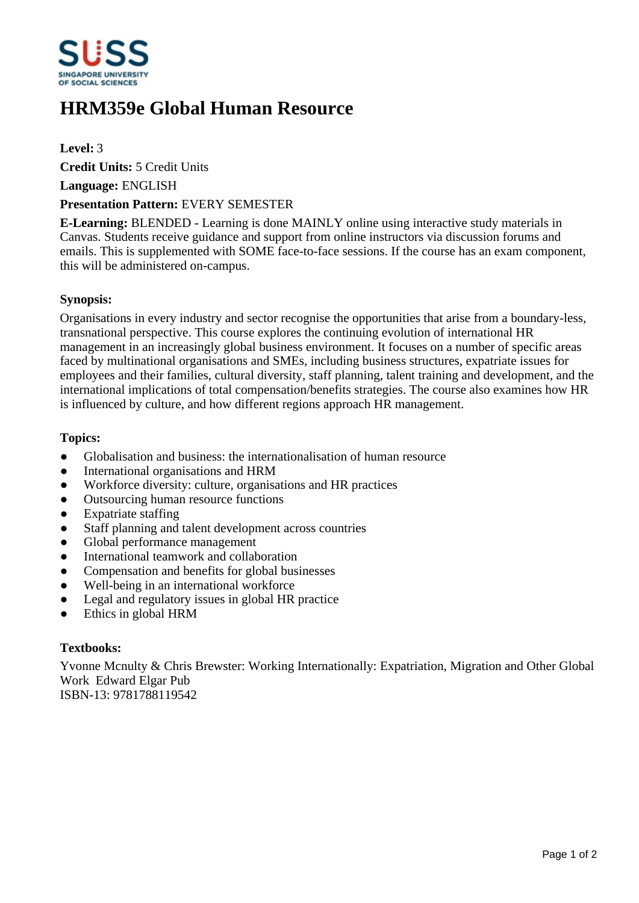

# **HRM359e Global Human Resource**

### **Level:** 3

**Credit Units:** 5 Credit Units

**Language:** ENGLISH

#### **Presentation Pattern:** EVERY SEMESTER

**E-Learning:** BLENDED - Learning is done MAINLY online using interactive study materials in Canvas. Students receive guidance and support from online instructors via discussion forums and emails. This is supplemented with SOME face-to-face sessions. If the course has an exam component, this will be administered on-campus.

#### **Synopsis:**

Organisations in every industry and sector recognise the opportunities that arise from a boundary-less, transnational perspective. This course explores the continuing evolution of international HR management in an increasingly global business environment. It focuses on a number of specific areas faced by multinational organisations and SMEs, including business structures, expatriate issues for employees and their families, cultural diversity, staff planning, talent training and development, and the international implications of total compensation/benefits strategies. The course also examines how HR is influenced by culture, and how different regions approach HR management.

#### **Topics:**

- Globalisation and business: the internationalisation of human resource
- International organisations and HRM
- ƔWorkforce diversity: culture, organisations and HR practices
- Outsourcing human resource functions
- Expatriate staffing
- Staff planning and talent development across countries
- Global performance management
- International teamwork and collaboration
- Compensation and benefits for global businesses
- Well-being in an international workforce
- Legal and regulatory issues in global HR practice
- Ethics in global HRM

### **Textbooks:**

Yvonne Mcnulty & Chris Brewster: Working Internationally: Expatriation, Migration and Other Global Work Edward Elgar Pub ISBN-13: 9781788119542